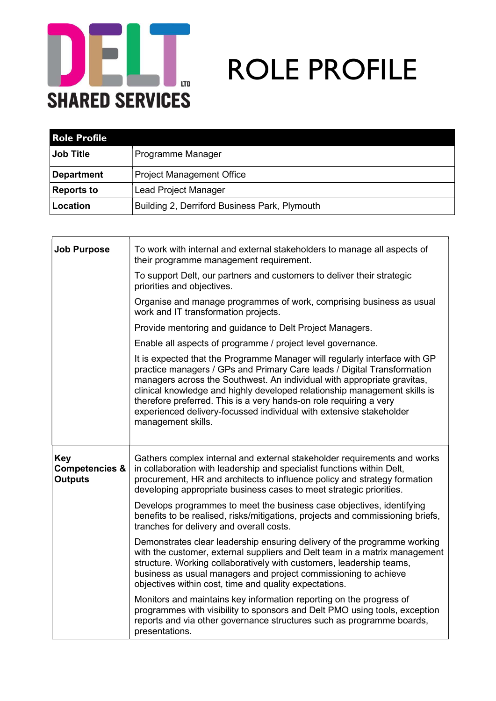

## **IDE ROLE PROFILE**

| <b>Role Profile</b> |                                               |
|---------------------|-----------------------------------------------|
| <b>Job Title</b>    | Programme Manager                             |
| <b>Department</b>   | <b>Project Management Office</b>              |
| <b>Reports to</b>   | <b>Lead Project Manager</b>                   |
| Location            | Building 2, Derriford Business Park, Plymouth |

| <b>Job Purpose</b>                                        | To work with internal and external stakeholders to manage all aspects of<br>their programme management requirement.                                                                                                                                                                                                                                                                                                                                                              |
|-----------------------------------------------------------|----------------------------------------------------------------------------------------------------------------------------------------------------------------------------------------------------------------------------------------------------------------------------------------------------------------------------------------------------------------------------------------------------------------------------------------------------------------------------------|
|                                                           | To support Delt, our partners and customers to deliver their strategic<br>priorities and objectives.                                                                                                                                                                                                                                                                                                                                                                             |
|                                                           | Organise and manage programmes of work, comprising business as usual<br>work and IT transformation projects.                                                                                                                                                                                                                                                                                                                                                                     |
|                                                           | Provide mentoring and guidance to Delt Project Managers.                                                                                                                                                                                                                                                                                                                                                                                                                         |
|                                                           | Enable all aspects of programme / project level governance.                                                                                                                                                                                                                                                                                                                                                                                                                      |
|                                                           | It is expected that the Programme Manager will regularly interface with GP<br>practice managers / GPs and Primary Care leads / Digital Transformation<br>managers across the Southwest. An individual with appropriate gravitas,<br>clinical knowledge and highly developed relationship management skills is<br>therefore preferred. This is a very hands-on role requiring a very<br>experienced delivery-focussed individual with extensive stakeholder<br>management skills. |
| <b>Key</b><br><b>Competencies &amp;</b><br><b>Outputs</b> | Gathers complex internal and external stakeholder requirements and works<br>in collaboration with leadership and specialist functions within Delt,<br>procurement, HR and architects to influence policy and strategy formation<br>developing appropriate business cases to meet strategic priorities.                                                                                                                                                                           |
|                                                           | Develops programmes to meet the business case objectives, identifying<br>benefits to be realised, risks/mitigations, projects and commissioning briefs,<br>tranches for delivery and overall costs.                                                                                                                                                                                                                                                                              |
|                                                           | Demonstrates clear leadership ensuring delivery of the programme working<br>with the customer, external suppliers and Delt team in a matrix management<br>structure. Working collaboratively with customers, leadership teams,<br>business as usual managers and project commissioning to achieve<br>objectives within cost, time and quality expectations.                                                                                                                      |
|                                                           | Monitors and maintains key information reporting on the progress of<br>programmes with visibility to sponsors and Delt PMO using tools, exception<br>reports and via other governance structures such as programme boards,<br>presentations.                                                                                                                                                                                                                                     |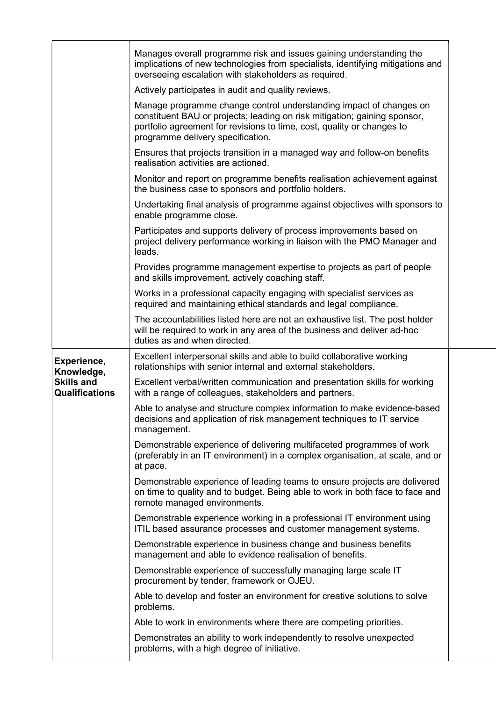|                                                          | Manages overall programme risk and issues gaining understanding the<br>implications of new technologies from specialists, identifying mitigations and<br>overseeing escalation with stakeholders as required.                                                  |  |
|----------------------------------------------------------|----------------------------------------------------------------------------------------------------------------------------------------------------------------------------------------------------------------------------------------------------------------|--|
|                                                          | Actively participates in audit and quality reviews.                                                                                                                                                                                                            |  |
|                                                          | Manage programme change control understanding impact of changes on<br>constituent BAU or projects; leading on risk mitigation; gaining sponsor,<br>portfolio agreement for revisions to time, cost, quality or changes to<br>programme delivery specification. |  |
|                                                          | Ensures that projects transition in a managed way and follow-on benefits<br>realisation activities are actioned.                                                                                                                                               |  |
|                                                          | Monitor and report on programme benefits realisation achievement against<br>the business case to sponsors and portfolio holders.                                                                                                                               |  |
|                                                          | Undertaking final analysis of programme against objectives with sponsors to<br>enable programme close.                                                                                                                                                         |  |
|                                                          | Participates and supports delivery of process improvements based on<br>project delivery performance working in liaison with the PMO Manager and<br>leads.                                                                                                      |  |
|                                                          | Provides programme management expertise to projects as part of people<br>and skills improvement, actively coaching staff.                                                                                                                                      |  |
|                                                          | Works in a professional capacity engaging with specialist services as<br>required and maintaining ethical standards and legal compliance.                                                                                                                      |  |
|                                                          | The accountabilities listed here are not an exhaustive list. The post holder<br>will be required to work in any area of the business and deliver ad-hoc<br>duties as and when directed.                                                                        |  |
|                                                          | Excellent interpersonal skills and able to build collaborative working                                                                                                                                                                                         |  |
| Experience,                                              | relationships with senior internal and external stakeholders.                                                                                                                                                                                                  |  |
| Knowledge,<br><b>Skills and</b><br><b>Qualifications</b> | Excellent verbal/written communication and presentation skills for working<br>with a range of colleagues, stakeholders and partners.                                                                                                                           |  |
|                                                          | Able to analyse and structure complex information to make evidence-based<br>decisions and application of risk management techniques to IT service<br>management.                                                                                               |  |
|                                                          | Demonstrable experience of delivering multifaceted programmes of work<br>(preferably in an IT environment) in a complex organisation, at scale, and or<br>at pace.                                                                                             |  |
|                                                          | Demonstrable experience of leading teams to ensure projects are delivered<br>on time to quality and to budget. Being able to work in both face to face and<br>remote managed environments.                                                                     |  |
|                                                          | Demonstrable experience working in a professional IT environment using<br>ITIL based assurance processes and customer management systems.                                                                                                                      |  |
|                                                          | Demonstrable experience in business change and business benefits<br>management and able to evidence realisation of benefits.                                                                                                                                   |  |
|                                                          | Demonstrable experience of successfully managing large scale IT<br>procurement by tender, framework or OJEU.                                                                                                                                                   |  |
|                                                          | Able to develop and foster an environment for creative solutions to solve<br>problems.                                                                                                                                                                         |  |
|                                                          | Able to work in environments where there are competing priorities.                                                                                                                                                                                             |  |
|                                                          | Demonstrates an ability to work independently to resolve unexpected<br>problems, with a high degree of initiative.                                                                                                                                             |  |